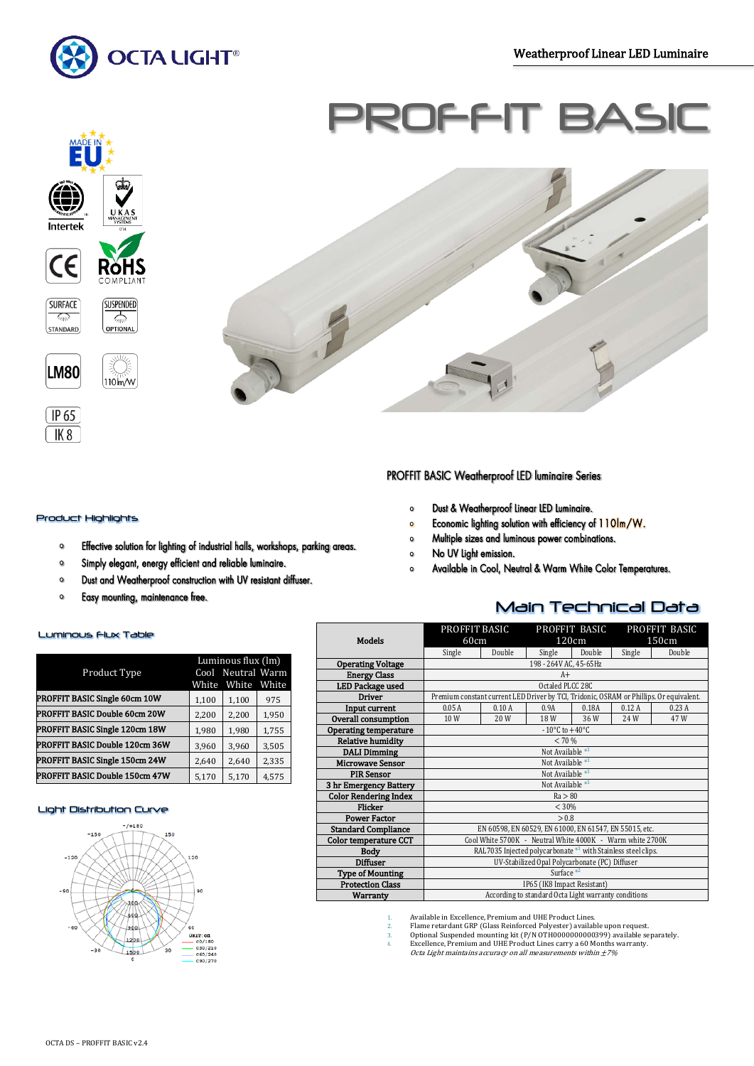Ī



Ë

Intertek

CE

**SURFACE** 

 $\sqrt{2}$ STANDARD

**LM80** 

 $\sqrt{1P_65}$  $(K8)$ 

# ROFFI



### Product Highlights

- Effective solution for lighting of industrial halls, workshops, parking areas.  $\circ$
- $\bullet$ Simply elegant, energy efficient and reliable luminaire.
- $\bullet$ Dust and Weatherproof construction with UV resistant diffuser.
- $\bullet$ Easy mounting, maintenance free.

#### Luminous Flux Table

|                                | Luminous flux (lm) |                   |       |  |
|--------------------------------|--------------------|-------------------|-------|--|
| Product Type                   |                    | Cool Neutral Warm |       |  |
|                                | White              | White             | White |  |
| PROFFIT BASIC Single 60cm 10W  | 1,100              | 1,100             | 975   |  |
| PROFFIT BASIC Double 60cm 20W  | 2,200              | 2,200             | 1,950 |  |
| PROFFIT BASIC Single 120cm 18W | 1,980              | 1,980             | 1,755 |  |
| PROFFIT BASIC Double 120cm 36W | 3,960              | 3,960             | 3,505 |  |
| PROFFIT BASIC Single 150cm 24W | 2,640              | 2.640             | 2,335 |  |
| PROFFIT BASIC Double 150cm 47W | 5,170              | 5,170             | 4,575 |  |

### Light Distribution Curve



## PROFFIT BASIC Weatherproof LED luminaire Series

- Dust & Weatherproof Linear LED Luminaire.  $\circ$
- Economic lighting solution with efficiency of 110lm/W.  $\circ$
- Multiple sizes and luminous power combinations.  $\circ$
- No UV Light emission.  $\circ$
- Available in Cool, Neutral & Warm White Color Temperatures.  $\mathbf{o}$

### Main Technical Data

| <b>Models</b>                | PROFFIT BASIC<br>60cm                                         |        | PROFFIT BASIC<br>120cm |        | PROFFIT BASIC<br>150cm |                                                                                         |
|------------------------------|---------------------------------------------------------------|--------|------------------------|--------|------------------------|-----------------------------------------------------------------------------------------|
|                              | Single                                                        | Double | Single                 | Double | Single                 | Double                                                                                  |
| <b>Operating Voltage</b>     |                                                               |        | 198 - 264V AC, 45-65Hz |        |                        |                                                                                         |
| <b>Energy Class</b>          | $A+$                                                          |        |                        |        |                        |                                                                                         |
| <b>LED Package used</b>      | Octaled PLCC 28C                                              |        |                        |        |                        |                                                                                         |
| <b>Driver</b>                |                                                               |        |                        |        |                        | Premium constant current LED Driver by TCI, Tridonic, OSRAM or Phillips. Or equivalent. |
| Input current                | 0.05A                                                         | 0.9A   | 0.18A                  | 0.12A  | 0.23A                  |                                                                                         |
| Overall consumption          | 10W                                                           | 20 W   | 18 W                   | 36W    | 24W                    | 47 W                                                                                    |
| Operating temperature        | $-10^{\circ}$ C to $+40^{\circ}$ C                            |        |                        |        |                        |                                                                                         |
| <b>Relative humidity</b>     | < 70%                                                         |        |                        |        |                        |                                                                                         |
| <b>DALI Dimming</b>          | Not Available <sup>*1</sup>                                   |        |                        |        |                        |                                                                                         |
| <b>Microwave Sensor</b>      | Not Available $*1$                                            |        |                        |        |                        |                                                                                         |
| <b>PIR Sensor</b>            | Not Available $*1$                                            |        |                        |        |                        |                                                                                         |
| 3 hr Emergency Battery       | Not Available $*1$                                            |        |                        |        |                        |                                                                                         |
| <b>Color Rendering Index</b> | Ra > 80                                                       |        |                        |        |                        |                                                                                         |
| <b>Flicker</b>               | < 30%                                                         |        |                        |        |                        |                                                                                         |
| <b>Power Factor</b>          | > 0.8                                                         |        |                        |        |                        |                                                                                         |
| <b>Standard Compliance</b>   | EN 60598, EN 60529, EN 61000, EN 61547, EN 55015, etc.        |        |                        |        |                        |                                                                                         |
| <b>Color temperature CCT</b> | Cool White 5700K - Neutral White 4000K - Warm white 2700K     |        |                        |        |                        |                                                                                         |
| <b>Body</b>                  | RAL7035 Injected polycarbonate *1 with Stainless steel clips. |        |                        |        |                        |                                                                                         |
| <b>Diffuser</b>              | UV-Stabilized Opal Polycarbonate (PC) Diffuser                |        |                        |        |                        |                                                                                         |
| <b>Type of Mounting</b>      | Surface $*^2$                                                 |        |                        |        |                        |                                                                                         |
| <b>Protection Class</b>      | IP65 (IK8 Impact Resistant)                                   |        |                        |        |                        |                                                                                         |
| Warranty                     | According to standard Octa Light warranty conditions          |        |                        |        |                        |                                                                                         |

- 
- Available in Excellence, Premium and UHE Product Lines.<br>
2. Flame retardant GRP (Glass Reinforced Polyester) available upon request.<br>
3. Optional Suspended mounting kit (P/N OTH0000000000399) available separately.<br>
4. Exc
-